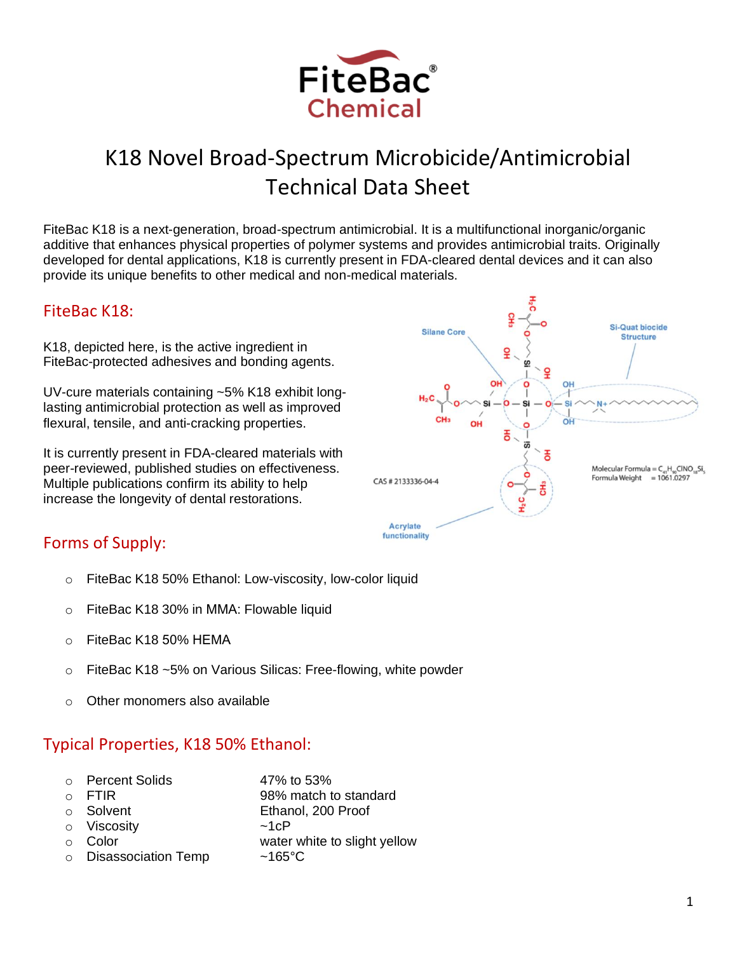

# K18 Novel Broad-Spectrum Microbicide/Antimicrobial Technical Data Sheet

FiteBac K18 is a next-generation, broad-spectrum antimicrobial. It is a multifunctional inorganic/organic additive that enhances physical properties of polymer systems and provides antimicrobial traits. Originally developed for dental applications, K18 is currently present in FDA-cleared dental devices and it can also provide its unique benefits to other medical and non-medical materials.

# FiteBac K18:

K18, depicted here, is the active ingredient in FiteBac-protected adhesives and bonding agents.

UV-cure materials containing ~5% K18 exhibit longlasting antimicrobial protection as well as improved flexural, tensile, and anti-cracking properties.

It is currently present in FDA-cleared materials with peer-reviewed, published studies on effectiveness. Multiple publications confirm its ability to help increase the longevity of dental restorations.



# Forms of Supply:

- o FiteBac K18 50% Ethanol: Low-viscosity, low-color liquid
- o FiteBac K18 30% in MMA: Flowable liquid
- $\circ$  FiteBac K18 50% HEMA
- o FiteBac K18 ~5% on Various Silicas: Free-flowing, white powder
- o Other monomers also available

# Typical Properties, K18 50% Ethanol:

| <b>Percent Solids</b> | 47% to 53%                   |
|-----------------------|------------------------------|
| FTIR                  | 98% match to standard        |
| ○ Solvent             | Ethanol, 200 Proof           |
| o Viscosity           | $~1$ c $P$                   |
| Color                 | water white to slight yellow |
| o Disassociation Temp | $~165^{\circ}$ C             |
|                       |                              |